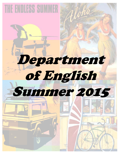

# Department of English Summer 2015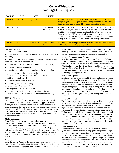### **General Education Writing Skills Requirement**

| <b>COURSE</b>  | <b>SAT</b>  | ACT           | <b>AP EXAM</b>                    |                                                                                                                                                                                                                                                                                                                                                                                                                                        |
|----------------|-------------|---------------|-----------------------------------|----------------------------------------------------------------------------------------------------------------------------------------------------------------------------------------------------------------------------------------------------------------------------------------------------------------------------------------------------------------------------------------------------------------------------------------|
| <b>ENG 101</b> | Up to $570$ | Up to $26$    |                                   | Students who place into ENG 101 must take ENG 201 after successfully<br>completing ENG 101. Upon successful completion of ENG 201, stu-<br>dents will also receive General Education Humanities credit.                                                                                                                                                                                                                                |
| <b>ENG 201</b> | 580-720     | 27-31         | 4 or 5 on ENGC<br>AP exam         | Students placed directly into ENG 201 by SAT or ACT score will com-<br>plete the writing requirement, and take an additional course for the Hu-<br>manities requirement. Students who have ENG 101 credits—whether<br>from the course at UB or an equivalent transfer course or from a score<br>of 4 or 5 on the AP Language and Composition exam—will, upon com-<br>pleting ENG 201, finish both Humanities and writing requirements. |
| <b>EXEMPT</b>  | 730-800     | $32 \&$ above | $4 & 5$ or $5 & 5$<br>(two exams) | Students who are Exempted from the Writing Skills Requirement must<br>still fulfill the Humanities requirement.                                                                                                                                                                                                                                                                                                                        |

### **Course Objectives**

In ENG 101, students will

 gain familiarity with learning approaches connected to successful writing

 compose in a variety of academic, professional, and civic contexts, including digital environments

- undertake a productive writing practice, including revising
- make and support arguments
- acquire an introductory understanding of rhetorical analysis
- practice critical and evaluative reading
- understand the role of conventions in different genres

In ENG 201, students will

- practice library research methods
- evaluate primary and secondary sources compose a researched argument
- Through ENG 101 and 201, students will

 be introduced to the humanistic discipline of rhetoric investigate questions of the humanities through rhetorical study

### **ENG 201 Themes**

ENG 201 is taught under six separate themes. In theory, this will grant students a chance to choose a theme that appeals to them. Ultimately, we also understand that students are often constrained to select courses on the basis of the availability of open seats and on the basis of their schedules. For that reason we have directed our instructors to define their themes as capaciously as possible, to invite students in from all disciplines and interests. Below you will find the theme descriptions.

### **Media and Image**

From Twitter to pirated music, from 24-hour news to smartphone tags, we are surrounded by media. How do we access media? How do we use media? How are we influenced by it? How do trends in these media reflect and bring about commercial, technological, political, and social changes? Beneath the umbrella of this theme, specific sections may cover topics that include celebrity culture, news coverage, and representations of race, gender, and/or nature in popular media.

### **American Life**

From the Golden Arches to the Golden Gate, from Hollywood to YouTube, this class will explore the concept of American Life. Various topics may include popular music, television and film, literature, government and democracy, advertisements, crime, history, and language. This class will strive for an understanding of American culture, from both American and international perspectives.

### **Science, Technology, and Society**

How do science and technology change our definition of what it means to be human? Where does it expand our understanding and where does it limit how we see ourselves and the society around us? What implications do these issues have for politics, economics and society, ethics and the law. Topics explored under this theme could include food, bioethics, environment, social media and information technology, and cognitive science.

#### **Justice and Equality**

At a time when economic inequality is rising and evidence persists of discrimination on the bases of race, gender, disability, religion, socioeconomic status, and sexual orientation, coming to an understanding of complex and subtle interactions between distinct subgroups of the population, the legal system, and politicians has become more challenging, exciting, and essential. Sections under this theme might cover the prison system, access to quality education, anti-bullying statutes, gender equity, and immigrant rights and deportation.

### **Cultural Imagination**

This theme centers around narratives constructed by our culture as a whole, whether they be myths, dreams and fantasies, or beliefs and assumptions about how our world works. Narrowly understood, myths are sacred and sometimes false stories; broadly understood, they are modes of knowing that construct, articulate and make visible both existing and alternative worlds. We will explore and study these myths and stories by looking at the importance they hold in a number of different areas, including psychological, historical and sociological. Our purpose is to better understand the roles that these stories, these imaginings and constructions, play in our lives and our understanding of experiences.

### **The Changing World**

One of the hottest terms to enter our contemporary lexicon is "globalization," but it remains in the popular imagination a vague label for the enormous changes is global dynamics. Courses under this heading may explore human migration, refugees, war, global commerce, worldwide communication, "global Englishes," and the growing water crisis. Keeping in mind how the dynamics between local and global are in great flux, students in this course may conduct ethnographies and become involved in service learning as a part of their coursework and research projects.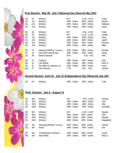# **First Session: May 26– July 3 (Memorial Day Observed May 25th)**

| 101 | JC  | Writing 1                          | M-F          | $11:20 - 12:35$ | Grujic        |
|-----|-----|------------------------------------|--------------|-----------------|---------------|
| 101 | JX1 | Writing 1                          | ARR - Online | ARR - Online    | Nashar        |
| 101 | JX2 | Writing 1                          | ARR - Online | ARR - Online    | Matteson      |
| 101 | JX3 | Writing 1                          | ARR - Online | ARR - Online    | Quirici       |
| 201 | JB  | Writing 2                          | M-F          | $9:40 - 10:55$  | Fetter        |
| 201 | JC  | Writing 2                          | M-F          | $11:20 - 12:35$ | Godley        |
| 201 | JX1 | Writing 2                          | ARR - Online | ARR - Online    | Garg          |
| 201 | JX2 | Writing 2                          | ARR - Online | ARR - Online    | Lakoff        |
| 201 | JX3 | Writing 2                          | ARR - Online | ARR - Online    | Romans        |
| 201 | JX4 | Writing 2                          | ARR - Online | ARR - Online    | <b>Miller</b> |
| 202 | JX  | <b>Advanced Writing: Technical</b> | ARR - Online | ARR - Online    | Siehnel       |
| 207 | JX  | Intro Writ Poetry/Fiction          | ARR - Online | ARR - Online    | Gould         |
| 221 | JR  | <b>World Literature</b>            | M W          | $6:30 - 9:40$   | Park          |
| 301 | JX  | Criticism                          | ARR - Online | ARR - Online    | Stott         |
| 354 | JX  | Life Writing                       | ARR - Online | ARR - Online    | Reid, R.      |
| 374 | JX  | The Bible as Literature (E)        | ARR - Online | ARR - Online    | Feero         |
| 438 | JT  | <b>Film Directors</b>              | T TH         | $6:30 - 9:40$   | Schmid        |

# **Second Session: June 22 - July 31 (Independence Day Observed July 4th)**

| 101 | KX | Writing 1 | ARR - Online ARR - Online | Todd |
|-----|----|-----------|---------------------------|------|
|     |    |           |                           |      |

# **Third Session: July 6 - August 14**

| 101 | MВ              | Writing 1                          | M-F          | $9:40 - 10:55$  | Pamula      |
|-----|-----------------|------------------------------------|--------------|-----------------|-------------|
| 101 | MX1             | Writing 1                          | ARR - Online | ARR - Online    | Park        |
| 101 | MX <sub>2</sub> | Writing 1                          | ARR - Online | ARR - Online    | Shin        |
| 101 | MX3             | Writing 1                          | ARR - Online | ARR - Online    | Schindler   |
| 201 | МC              | Writing 2                          | M-F          | $11:20 - 12:35$ | Squires     |
| 201 | MX1             | Writing 2                          | ARR - Online | ARR - Online    | Park        |
| 201 | MX2             | Writing 2                          | ARR - Online | ARR - Online    | Mangat      |
| 201 | MX3             | Writing 2                          | ARR - Online | ARR - Online    | Bragadottir |
| 202 | МX              | <b>Advanced Writing: Technical</b> | ARR - Online | ARR - Online    | Gomes       |
| 253 | <b>MX</b>       | <b>Novel</b>                       | ARR - Online | ARR - Online    | Kim         |
| 357 | МX              | Contemporary Literature            | ARR - Online | ARR - Online    | Conte       |
| 380 | <b>MX</b>       | New Media                          | ARR - Online | ARR - Online    | Reid, A.    |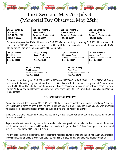

# **First Session: May 26 - July 3 (Memorial Day Observed May 25th)**

 **101 JC - Writing 1 101 JX1 - Writing 1 101 JX2 - Writing 1 101 JX3- Writing 1**  Ana Grujic **Claire Nashar Travis Matteson** Marion Quirici **Marion** Quirici M-F 11:20 - 12:35 **Arranged - Online section** Arranged - Online section **Arranged - Online section Reg. No. 12030** Reg. No. 10566 Reg. No. 11650 Reg. No. 11651

Students who place into ENG 101 must take ENG 201 after successfully completing ENG 101. Upon successful completion of ENG 201, students will also receive General Education Humanities credit. Placement scores for ENG 101 for the SAT are up to 570, and on the ACT are up to 26.

 **201 JB - Writing 2 201 JC - Writing 2 201 JX1 - Writing 2 201 JX2 - Writing 2**  Kyle Fetter **Network Shubhangi Garg 19. In the Shubhangi Garg Teremy Lakoff <b>Jeremy Lakoff** 

> **201 JX3 - Writing 2 201 JX4 - Writing 2 Brad Romans** Arranged - Online section **Arranged - Online section Reg. No. 11653 Reg. No. 12178**

 **M-F 9:40 - 10:55 M-F 11:20 - 12:35 Arranged - Online section Arranged - Online section Reg. No. 10343 Reg. No. 12489 Reg. No. 10567 Reg. No. 10502** 

Students placed directly into ENG 201 by SAT or SAT score (SAT 580-720, ACT 27-31, 4 or 5 on ENGC AP Exam) will complete the writing reguirement, and take an additional course for the Humanities reguirement. Students who have ENG 101 credits—whether from the course at UB or an equivalent transfer course or from a score of 4 or 5 on the AP Language and Composition exam– will, upon completing ENG 201, finish both Humanities and Writing Requirements.

### **COURSE REPEAT POLICY**

Please be advised that English 101, 102, and 201 have been designated as **'limited enrollment'** courses. Self-registration in these courses in the Fall and Spring semesters will be limited to those students who are taking the course for the first time; repeat enrollments during Spring and Fall will not be allowed.

Students who plan to repeat one of these courses for any reason should plan to register for the course during one of the summer sessions.

Repeat enrollment refers to registration by a student who was previously enrolled in the course at UB, or who transferred an equivalent course to UB, and who received a letter grade of A, B, C, D or F and qualified values thereof (e.g., A-, D+) or a grade of P, S, U, I, J, N or R.

The only case in which a student may self-register for a repeated course is when the student has taken an Administrative Withdrawal for an entire previous semester, so that all the grades for that semester were registered as W.

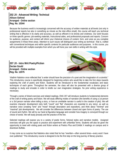

**202 JX - Advanced Writing: Technical Allison Siehnel Arranged - Online section Reg. No. 10344** 

Because the business world is increasingly concerned with the accuracy of written materials at all levels (not only in professional reports but also in something as minute as the inter-office email), this course will teach you technical writing that is effective in its clarity and accuracy, as well as efficient in its brevity and vividness. Our work focuses on three specific genres: job-seeking materials, instructional aides, and professional proposals and reports. Concern for audience, purpose, and context will inform your rhetorical choices of content, form, and voice as you complete assignments in these three areas. Attention to such issues will distinguish your writing as technical-- that is, crafted with conventional techniques and within specific contexts for particular audiences and purposes. In this course, you will be provided with multiple examples from which you will hone your own skills in writing with this style.

**207 JX - Intro Writ Poetry/Fiction Declan Gould Arranged - Online section Reg. No. 12075** 



Vladimir Nabokov once reflected that "a writer should have the precision of a poet and the imagination of a scientist." This introductory course is specifically designed for beginning writers who would like to take the first steps towards exploring the craft of poetry and fiction. Students will be introduced to the fundamental vocabulary and basic techniques of each genre. Throughout the semester, the class will also be presented with a diverse group of readings to study and emulate in order to kindle our own imaginative strategies. No prior writing experience is necessary.

Through a series of linked exercises and related readings, ENG 207 will introduce students to fundamental elements of the craft of writing poetry and fiction. We will study differing modes of narration (the benefits of using a 1st person or a 3rd person narrator when telling a story, or how an unreliable narrator is useful in the creation of plot). We will examine character development (why both "round" and "flat" characters are essential to any story), as well as narrative voice (creating "tone" and "mood" through description and exposition), and think about "minimal" and "maximal" plot developments. We will consider the differences between closed and open forms of poetry. The use of sound and rhythm. We will try our hand at figurative language and consider how imagery is conveyed through our choice of words. We will study prosody and the practice of the line.

Selected readings will expose you to a variety of poetic forms, fictional styles and narrative models. Assigned exercises will give you the space to practice and experiment with unfamiliar forms. Students will also be given the opportunity to meet with visiting poets and fiction writers at Poetics Plus and Exhibit X readings on campus and in downtown Buffalo.

It may come as no surprise that Nabokov also noted that he has "rewritten—often several times—every word I have ever published." This introductory course is designed to be the first step on the long journey of literary practice.

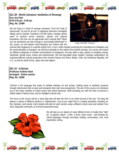

**221 JR - World Literature: Aesthetics of Revenge Eon Joo Park M W 6:30 pm - 9:40 pm Reg. No. 12499** 

We are living in a flood of revenge narratives. From the Code of Hammurabi, "an eye for an eye" to Japanese Samurai's revengeful killings and to Quentin Tarantino's *Kill Bill* series, revenge stories seem to traverse across historical, cultural, and national boundaries. But how can we appreciate each revenge plot? When can we assertively say that revenge is successfully performed? In this course, we will explore world literature and cinema with the



Gogo: Kill Bill, Volume 1

premise that vengeance is a specific artistic form. In turn, while critically examining the motivations for retaliation and the social identities of avengers, we will focus primarily on the artistic drive behind revenge. Our survey will include six different categories of creative orchestrations of vengeance: the play within a play, poetics of vengeful cursing, infanticide, female arson, torture and imprisonment. We will interrogate these creative "revenge compositions" by analyzing different cultural productions from Ancient Greece and Rome, Britain, Chile, the Dominican Republic, the U.S., as well as South Korea, Japan and onto Nigeria.

**301 JX - Criticism Professor Andrew Stott Arranged - Online section Reg. No. 12566** 

Criticism is the language that seeks to mediate between art and society, making sense of aesthetic practices through interlocution that re-casts and energizes them with new perspectives. The aim of this course is to introduce you to the many varieties of critical voices and critical discourse, while providing you with the tools to become a skilled reader of literary texts, and an intelligent cultural critic.

The focus of the course will be a class blog that will take the form of an online journal of the arts. The blog will feature a variety of different sections or "departments," just as you might find in a weekly periodical, including art, film, literature, and society. Each student will write for each section using a different critical voice and method, from short, blog-style comments, to a formal researched essay.

> We will take as our objects of study different forms of media from "high" art to popular culture - a film, a novel, some music - and develop our critical languages through secondary reading, conversation, and, most importantly, writing.

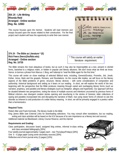

**354 JX - Life Writing Rhonda Reid Arranged - Online section Reg. No. 12063** 

This course focuses upon the memoir. Students will read memoirs and essays focused upon the issues related to their construction. For the final project each student will have the opportunity to write their own memoir.

### **374 JX - The Bible as Literature \* (E) Rick Feero (feero@buffalo.edu) Arranged - Online section Reg. No. 10735**

\* This course will satisfy an earlier literature requirement.

**ENJAMIN FRANKLIN** 

ï.

Let WRITE SOMETHING reading DO SOMETHING writing.

The Bible remains the most ubiquitous of books, but as such it may also be imperceptible as a text, present in clichéd forms, banished to a religious realm, or hidden in popular and literary allusions. We don't know what we think we know. Hence, to borrow a phrase from Marcus J. Borg, we'll attempt to "read the Bible again for the first time."

This course will center on close readings of selected Biblical texts, including, Genesis/Exodus, Proverbs, Job, Jonah, Esther, Amos, Mark and the gospels, Romans, and Revelations. As the course title implies, we will focus on the literary aspects of the Bible--problems of genre, structure, literary devices – with some considerations of composition and authorship, historical background and setting as it bears on our reading. In short, we will explore the world of the text, beginning with the perspective that the Bible produces meaning through varied and overlapping literary forms (such as narrative, prophecy, and parable) and literary strategies (such as metaphor, allegory and hyperbole). Our approach will thus be situated between two perspectives, noting the traces of multiple sources and intentions uncovered by previous forms of Biblical criticism—two divergent creation stories opening and resurfacing in the stories of Genesis; older collections of saying and parables incorporated into and disrupting the narrative of Mark—but using newer forms of criticism to see this disorder as inherent to and productive of a wider literary meaning. In short, we will be primarily engaged in a poetics rather than a hermeneutics.

### **Required Texts:**

Robert Alter and Frank Kermode, *The literary Guide to the Bible*

*King James Bible* (see External Links for downloading selections. You may consult other translations, but our reading, writing and class activities will be based on the KJV because of its own importance as a literary text and source)

Additional material via Blackboard, Library Course Reserve, and the internet

### **Requirements and Grading:**

Class participation, discussion board, assigned blog entries, informal in-class writing, and class annotated bibliography [30%] Four weekly journal (approximately 2 pages each – due Thursdays/Fridays) [30%] One 5 – 6 page paper (using some secondary sources) [30%]

Reflective end of term journal entry (3 pages) [10%]



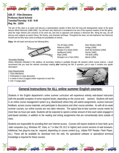

**438 JT - Film Directors Professor David Schmid Tuesday/Thursday 6:30 - 9:40 Reg. No. 12034** 

The aim of this class is to watch and discuss a representative sample of films from the long and distinguished career of the great director Alfred Hitchcock (1899-1980). You will learn why Hitchcock is considered to be one of the supreme masters of the film genre, what the major themes and concerns of his work are, and how to approach and analyze a Hitchcock film. Along the way, we will discuss such subjects as auteur theory, film history, and cinematic technique. Throughout the class, we will emphasize how Hitchcock himself and his films have come to embody the possibilities of cinema.

**Films** We will watch and discuss the following films:



 *The 39 Steps* (1935) *Rear Window* (1954)  *Rebecca* (1940) *Vertigo* (1958)  *Shadow of a Doubt* (1943) *North By Northwest* (1959)  *Spellbound* (1945) *Psycho* (1960)  *Rope* (1948) *The Birds* (1963)  *Strangers on a Train* (1951) *Marnie* (1964)

### Secondary Reading

Unless otherwise indicated in the syllabus, all secondary reading is available through UB Libraries online course reserve. I would recommend that you read the relevant secondary reading **after** watching the film in question, just in case it contains any spoiler information!

Class Requirements

- 1. Class attendance.
- 2. Participation in class discussion.
- 3. A series of short (3 pages) written responses to each film.

4. One 7-9 page paper.



# **General Instructions for ALL online summer English courses:**

Students in the English department's online summer curriculum will experience entirely web-based instruction (with the possible exception of some required books, depending on the course and section). Students will work in an online course management system (e.g. Blackboard) where they will submit assignments, receive instructor feedback, access course materials, and participate in discussions and other course activities. As with all six-week summer courses, our online courses are very labor intensive. The typical face-to-face summer course meets for more than six hours per week. Students will be expected to spend a similar amount of time each week engaged in web-based activities, in addition to the reading and writing assignments that are conventionally done outside of class.

Students are responsible for providing their own Internet access. Courses will require students to have fairly up-to -date computers (e.g. Windows XP, Vista, or 7 or Mac OS 10.2 or higher) and current versions of web browsers. Additional, free plug-ins may be required, depending on course content (e.g., Adobe PDF Reader, Flash Player, etc.). These will be available for download from the web. No specialized software or specialized technical knowledge is required for these courses.

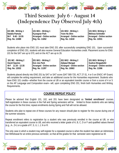

# **Third Session: July 6 - August 14 (Independence Day Observed July 4th)**

 **101 MB - Writing 1 101 MX1 - Writing 1 101 MX2 - Writing 1 101 MX3- Writing 1**  Natalia Pamula **Xatalia Pamula** Kyungran Park Xatalia Shin Melissa Schindler M-F 9:40 - 10:55 **Arranged - Online section** Arranged - Online section **Arranged - Online section Reg. No. 12488 Reg. No. 11652 Reg. No. 11618 Reg. No. 12031** 

Students who place into ENG 101 must take ENG 201 after successfully completing ENG 101. Upon successful completion of ENG 201, students will also receive General Education Humanities credit. Placement scores for ENG 101 for the SAT are up to 570, and on the ACT are up to 26.

 **201 MC - Writing 2 201 MX1 - Writing 2 201 MX2 - Writing 2 201 MX3- Writing 2 David Squires Eon Joo Park Ailtheul Mangat Gudrun Bragadottir <b>Contains and Aliteration** M-F 11:20 - 12:35 **Arranged - Online section** Arranged - Online section Arranged - Online section **Reg. No. 12032 Reg. No. 11297 Reg. No. 10063** Reg. No. 11596

Students placed directly into ENG 201 by SAT or SAT score (SAT 580-720, ACT 27-31, 4 or 5 on ENGC AP Exam) will complete the writing requirement, and take an additional course for the Humanities requirement. Students who have ENG 101 credits—whether from the course at UB or an equivalent transfer course or from a score of 4 or 5 on the AP Language and Composition exam– will, upon completing ENG 201, finish both Humanities and Writing Requirements.

### **COURSE REPEAT POLICY**

Please be advised that English 101, 102, and 201 have been designated as **'limited enrollment'** courses. Self-registration in these courses in the Fall and Spring semesters will be limited to those students who are taking the course for the first time; repeat enrollments during Spring and Fall will not be allowed.

Students who plan to repeat one of these courses for any reason should plan to register for the course during one of the summer sessions.

Repeat enrollment refers to registration by a student who was previously enrolled in the course at UB, or who transferred an equivalent course to UB, and who received a letter grade of A, B, C, D or F and qualified values thereof  $(e.g., A-, D+)$  or a grade of P, S, U, I, J, N or R.

The only case in which a student may self-register for a repeated course is when the student has taken an Administrative Withdrawal for an entire previous semester, so that all the grades for that semester were registered as W.

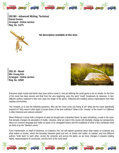

**202 MX - Advanced Writing: Technical Daniel Gomes Arranged - Online section Reg. No. 11271** 



**No description available at this time.**

**253 JX - Novel Min Young Kim Arranged - Online section Reg. No. 12500** 



Everyone reads novels and thinks they know what a novel is. And yet defining the novel genre is not so simple, for the form of the novel has been elusive and fluid from the very beginning; even the word "novel" broadcasts its newness. In fact, different authors explored in their own ways the shape of the genre, reflecting and molding various expectations from their reading communities.

This compels us to ask the following questions: Why did the novel come into being at all? What did the novel specifically respond to? Why weren't other types of prose fiction of the time sufficient? What is the "novelty" of the novel? Is it different in other historical and cultural contexts?

When Robinson Crusoe finds a footprint on what he thought was a deserted island, he sees something, a mark in the sand, that abruptly changes his perception of reality. Likewise, what we read in this course will inevitably change our perspectives about our common language and make us aware of its variegated history and the multiplicity of what in fact constitutes what we think of as the "Western canon."

From *Frankenstein*, to *Heart of Darkness*, to Coetzee's *Foe*, we will explore questions about what makes us creatures and what makes us human, where the boundary between good and evil—or dream and reality—is marked, and how different authors "write back" to each other, across the centuries and across the globe, as we trace changes in popular reading habits, representations of community, and the form of the novel itself.

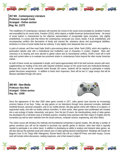

**357 MX - Contemporary Literature Professor Joseph Conte Arranged - Online section Reg. No. 11272** 

This installment of Contemporary Literature will examine the revival of the social novel prompted by Jonathan Franzen and exemplified by his recent book, *Freedom* (2010), which depicts a middle-American dysfunctional family. His brand of social realism is characterized by the objective representation of recognizable types (ourselves, only slightly embellished), in a prose style that mimics the contemporary vernacular (our voices, barely, if at all, embellished), and encompassing conflicts (the discontents of family and married life; substance abuse and psychological debilities; loneliness in a time of social media) that are ordinary, if only slightly more desperate than our own.

In point of contrast, we'll then read Zadie Smith's prize-winning debut novel, *White Teeth* (2000), which stirs together a postmodern fabulist style with a multinational and multiethnic cast of characters in London, England. More selfconscious in its bearing and more attuned to global culture and its transnational conflicts, Smith's novel will in both style and content allow us to evaluate two prominent strains in contemporary fiction beyond the often insular American market.

As both of these novels are substantial in length, we'll spend approximately half of the brief summer session with each, supplementing our reading of the texts with required nonfiction essays on the social novel and multicultural literature. Because this course will be conducted online through UB Learns, students will be required to participate in weekly graded discussion assignments. In addition to these short responses, there will be two 5-7 page essays that will be likewise submitted through UB Learns.

**380 MX - New Media Professor Alex Reid Arranged - Online section Reg. No. 12490** 



Since the appearance of the Atari 2600 video game console in 1977, video games have become an increasingly common feature of our lives. Today, we play games on our televisions through more advanced consoles, dedicated handheld devices, personal computers, and on our mobile phones. We play games online with millions of co-players, in augmented reality, and with our bodies without controllers. In other words, video games have proliferated and mutated into a vast ecology of media, interactivity, and genre. Over the last 20 years, the interdisciplinary study of video games has developed into a full-blown area of scholarly practice, including many practices with their origins in English and the humanities (as well as other methods from the social sciences, computer science, engineering, and other fields).

This online course will introduce the methods and foundational scholarship in games studies. We will play a number of games ourselves (you will not be required to purchase any specific games or devices, other than what is typically needed to participate in an online class). In addition to developing an ability to analyze and interpret video games, we will also discuss the potential social and cultural uses of video gaming beyond entertainment. Readings will include Ian Bogost's *How To Do Things With Videogames*, Bonnie Nardi's *My Life as a Night Elf Priest*, and other essays. Course work will include online discussions, reading responses, and a final research project.

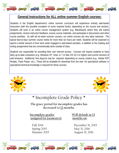

# **General Instructions for ALL online summer English courses:**

Students in the English department's online summer curriculum will experience entirely web-based Instruction (with the possible exception of some required books, depending on the course and section). Students will work in an online course management system (e.g. Blackboard) where they will submit assignments, receive instructor feedback, access course materials, and participate in discussions and other course activities. As with all six-week summer courses, our online courses are very labor intensive. The typical face-to-face summer course meets for more than six hours per week. Students will be expected to spend a similar amount of time each week engaged in web-based activities, in addition to the reading and writing assignments that are conventionally done outside of class.

Students are responsible for providing their own Internet access. Courses will require students to have fairly up-to-date computers (e.g. Windows XP, Vista, or 7 or Mac OS 10.2 or higher) and current versions of web browsers. Additional, free plug-ins may be required, depending on course content (e.g., Adobe PDF Reader, Flash Player, etc.). These will be available for download from the web. No specialized software or specialized technical knowledge is required for these courses.



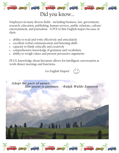

# Did you know…

Employers in many diverse fields - including business, law, government, research, education, publishing, human services, public relations, culture/ entertainment, and journalism - LOVE to hire English majors because of their:

- ability to read and write effectively and articulately
- excellent verbal communication and listening skills
- capacity to think critically and creatively
- comprehensive knowledge of grammar and vocabulary
- ability to weigh values and present persuasive arguments

PLUS, knowledge about literature allows for intelligent conversation at work dinner meetings and functions.

Go English Majors!